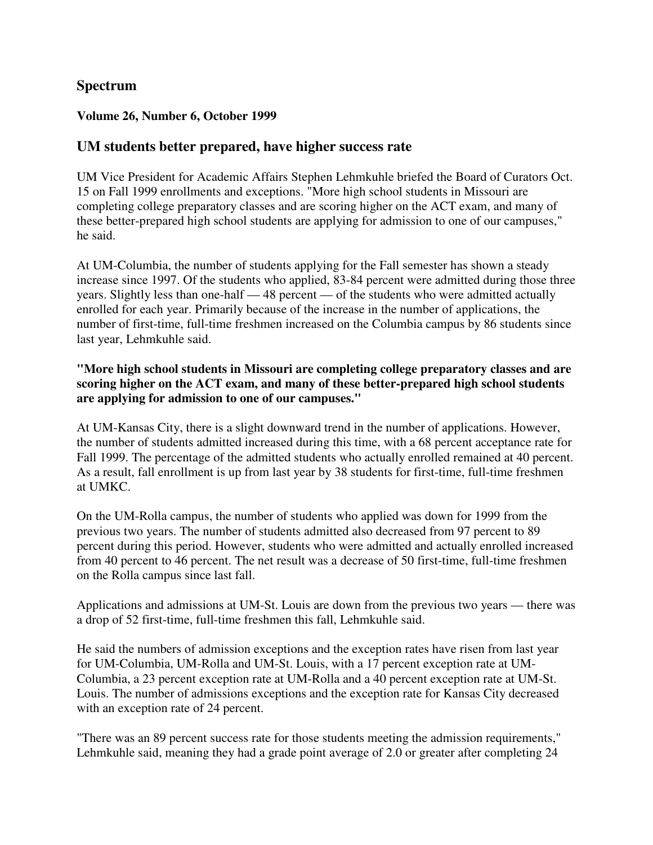## **Spectrum**

#### **Volume 26, Number 6, October 1999**

### **UM students better prepared, have higher success rate**

UM Vice President for Academic Affairs Stephen Lehmkuhle briefed the Board of Curators Oct. 15 on Fall 1999 enrollments and exceptions. "More high school students in Missouri are completing college preparatory classes and are scoring higher on the ACT exam, and many of these better-prepared high school students are applying for admission to one of our campuses," he said.

At UM-Columbia, the number of students applying for the Fall semester has shown a steady increase since 1997. Of the students who applied, 83-84 percent were admitted during those three years. Slightly less than one-half — 48 percent — of the students who were admitted actually enrolled for each year. Primarily because of the increase in the number of applications, the number of first-time, full-time freshmen increased on the Columbia campus by 86 students since last year, Lehmkuhle said.

#### **"More high school students in Missouri are completing college preparatory classes and are scoring higher on the ACT exam, and many of these better-prepared high school students are applying for admission to one of our campuses."**

At UM-Kansas City, there is a slight downward trend in the number of applications. However, the number of students admitted increased during this time, with a 68 percent acceptance rate for Fall 1999. The percentage of the admitted students who actually enrolled remained at 40 percent. As a result, fall enrollment is up from last year by 38 students for first-time, full-time freshmen at UMKC.

On the UM-Rolla campus, the number of students who applied was down for 1999 from the previous two years. The number of students admitted also decreased from 97 percent to 89 percent during this period. However, students who were admitted and actually enrolled increased from 40 percent to 46 percent. The net result was a decrease of 50 first-time, full-time freshmen on the Rolla campus since last fall.

Applications and admissions at UM-St. Louis are down from the previous two years — there was a drop of 52 first-time, full-time freshmen this fall, Lehmkuhle said.

He said the numbers of admission exceptions and the exception rates have risen from last year for UM-Columbia, UM-Rolla and UM-St. Louis, with a 17 percent exception rate at UM-Columbia, a 23 percent exception rate at UM-Rolla and a 40 percent exception rate at UM-St. Louis. The number of admissions exceptions and the exception rate for Kansas City decreased with an exception rate of 24 percent.

"There was an 89 percent success rate for those students meeting the admission requirements," Lehmkuhle said, meaning they had a grade point average of 2.0 or greater after completing 24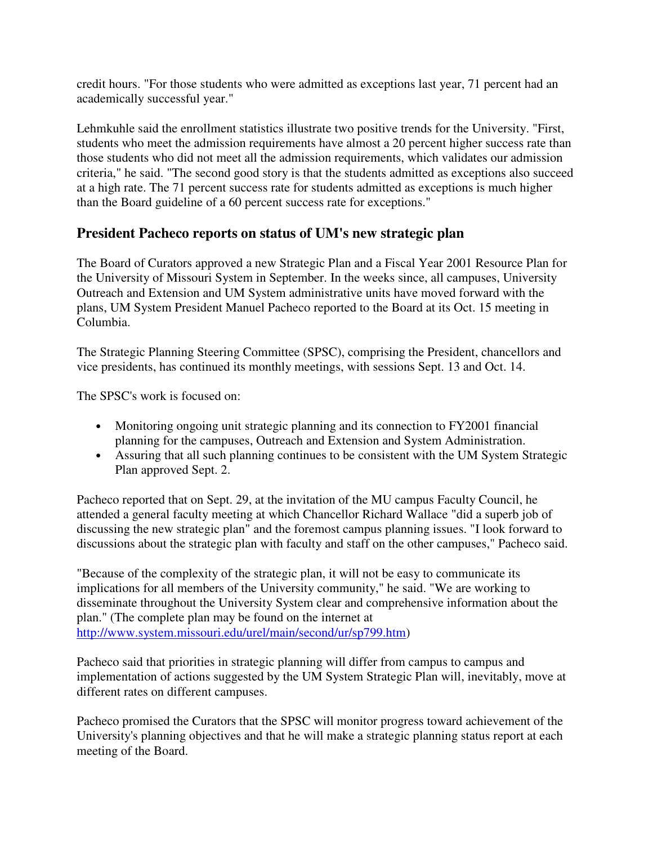credit hours. "For those students who were admitted as exceptions last year, 71 percent had an academically successful year."

Lehmkuhle said the enrollment statistics illustrate two positive trends for the University. "First, students who meet the admission requirements have almost a 20 percent higher success rate than those students who did not meet all the admission requirements, which validates our admission criteria," he said. "The second good story is that the students admitted as exceptions also succeed at a high rate. The 71 percent success rate for students admitted as exceptions is much higher than the Board guideline of a 60 percent success rate for exceptions."

# **President Pacheco reports on status of UM's new strategic plan**

The Board of Curators approved a new Strategic Plan and a Fiscal Year 2001 Resource Plan for the University of Missouri System in September. In the weeks since, all campuses, University Outreach and Extension and UM System administrative units have moved forward with the plans, UM System President Manuel Pacheco reported to the Board at its Oct. 15 meeting in Columbia.

The Strategic Planning Steering Committee (SPSC), comprising the President, chancellors and vice presidents, has continued its monthly meetings, with sessions Sept. 13 and Oct. 14.

The SPSC's work is focused on:

- Monitoring ongoing unit strategic planning and its connection to FY2001 financial planning for the campuses, Outreach and Extension and System Administration.
- Assuring that all such planning continues to be consistent with the UM System Strategic Plan approved Sept. 2.

Pacheco reported that on Sept. 29, at the invitation of the MU campus Faculty Council, he attended a general faculty meeting at which Chancellor Richard Wallace "did a superb job of discussing the new strategic plan" and the foremost campus planning issues. "I look forward to discussions about the strategic plan with faculty and staff on the other campuses," Pacheco said.

"Because of the complexity of the strategic plan, it will not be easy to communicate its implications for all members of the University community," he said. "We are working to disseminate throughout the University System clear and comprehensive information about the plan." (The complete plan may be found on the internet at http://www.system.missouri.edu/urel/main/second/ur/sp799.htm)

Pacheco said that priorities in strategic planning will differ from campus to campus and implementation of actions suggested by the UM System Strategic Plan will, inevitably, move at different rates on different campuses.

Pacheco promised the Curators that the SPSC will monitor progress toward achievement of the University's planning objectives and that he will make a strategic planning status report at each meeting of the Board.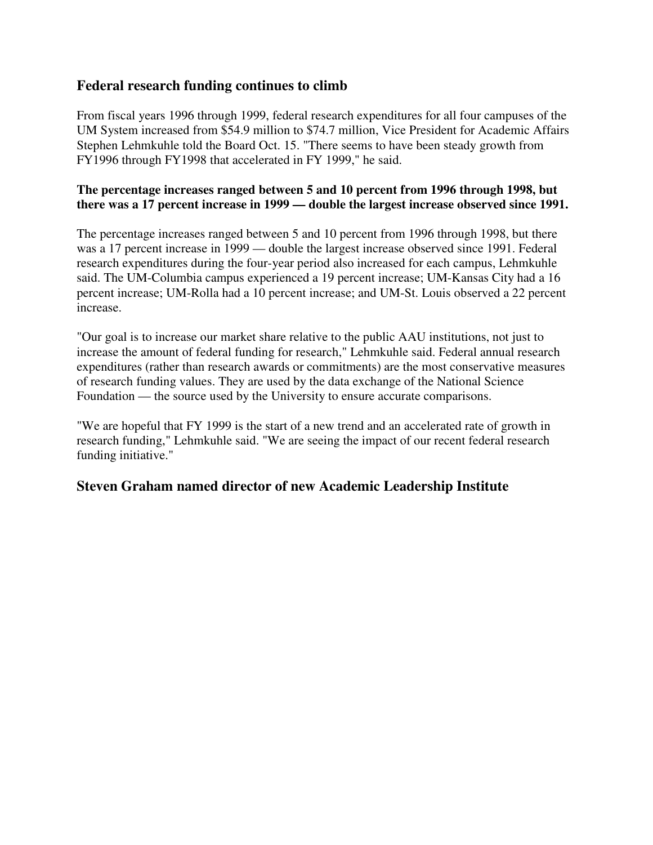### **Federal research funding continues to climb**

From fiscal years 1996 through 1999, federal research expenditures for all four campuses of the UM System increased from \$54.9 million to \$74.7 million, Vice President for Academic Affairs Stephen Lehmkuhle told the Board Oct. 15. "There seems to have been steady growth from FY1996 through FY1998 that accelerated in FY 1999," he said.

#### **The percentage increases ranged between 5 and 10 percent from 1996 through 1998, but there was a 17 percent increase in 1999 — double the largest increase observed since 1991.**

The percentage increases ranged between 5 and 10 percent from 1996 through 1998, but there was a 17 percent increase in 1999 — double the largest increase observed since 1991. Federal research expenditures during the four-year period also increased for each campus, Lehmkuhle said. The UM-Columbia campus experienced a 19 percent increase; UM-Kansas City had a 16 percent increase; UM-Rolla had a 10 percent increase; and UM-St. Louis observed a 22 percent increase.

"Our goal is to increase our market share relative to the public AAU institutions, not just to increase the amount of federal funding for research," Lehmkuhle said. Federal annual research expenditures (rather than research awards or commitments) are the most conservative measures of research funding values. They are used by the data exchange of the National Science Foundation — the source used by the University to ensure accurate comparisons.

"We are hopeful that FY 1999 is the start of a new trend and an accelerated rate of growth in research funding," Lehmkuhle said. "We are seeing the impact of our recent federal research funding initiative."

## **Steven Graham named director of new Academic Leadership Institute**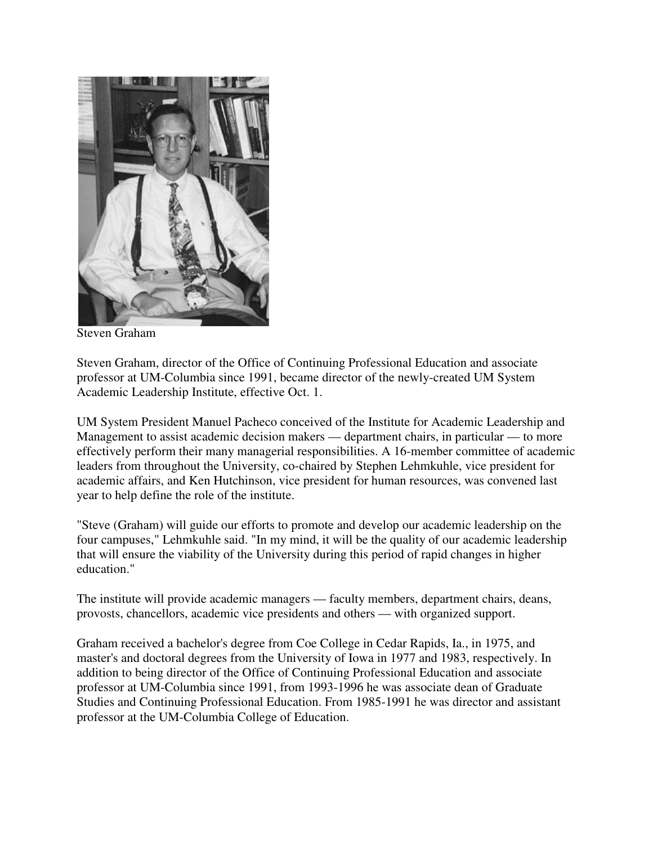

Steven Graham

Steven Graham, director of the Office of Continuing Professional Education and associate professor at UM-Columbia since 1991, became director of the newly-created UM System Academic Leadership Institute, effective Oct. 1.

UM System President Manuel Pacheco conceived of the Institute for Academic Leadership and Management to assist academic decision makers — department chairs, in particular — to more effectively perform their many managerial responsibilities. A 16-member committee of academic leaders from throughout the University, co-chaired by Stephen Lehmkuhle, vice president for academic affairs, and Ken Hutchinson, vice president for human resources, was convened last year to help define the role of the institute.

"Steve (Graham) will guide our efforts to promote and develop our academic leadership on the four campuses," Lehmkuhle said. "In my mind, it will be the quality of our academic leadership that will ensure the viability of the University during this period of rapid changes in higher education."

The institute will provide academic managers — faculty members, department chairs, deans, provosts, chancellors, academic vice presidents and others — with organized support.

Graham received a bachelor's degree from Coe College in Cedar Rapids, Ia., in 1975, and master's and doctoral degrees from the University of Iowa in 1977 and 1983, respectively. In addition to being director of the Office of Continuing Professional Education and associate professor at UM-Columbia since 1991, from 1993-1996 he was associate dean of Graduate Studies and Continuing Professional Education. From 1985-1991 he was director and assistant professor at the UM-Columbia College of Education.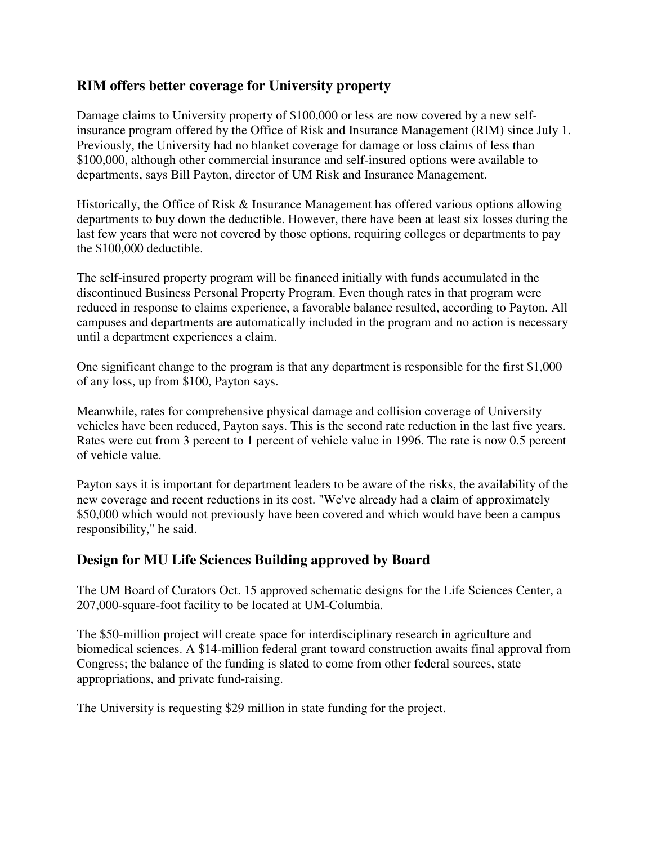## **RIM offers better coverage for University property**

Damage claims to University property of \$100,000 or less are now covered by a new selfinsurance program offered by the Office of Risk and Insurance Management (RIM) since July 1. Previously, the University had no blanket coverage for damage or loss claims of less than \$100,000, although other commercial insurance and self-insured options were available to departments, says Bill Payton, director of UM Risk and Insurance Management.

Historically, the Office of Risk & Insurance Management has offered various options allowing departments to buy down the deductible. However, there have been at least six losses during the last few years that were not covered by those options, requiring colleges or departments to pay the \$100,000 deductible.

The self-insured property program will be financed initially with funds accumulated in the discontinued Business Personal Property Program. Even though rates in that program were reduced in response to claims experience, a favorable balance resulted, according to Payton. All campuses and departments are automatically included in the program and no action is necessary until a department experiences a claim.

One significant change to the program is that any department is responsible for the first \$1,000 of any loss, up from \$100, Payton says.

Meanwhile, rates for comprehensive physical damage and collision coverage of University vehicles have been reduced, Payton says. This is the second rate reduction in the last five years. Rates were cut from 3 percent to 1 percent of vehicle value in 1996. The rate is now 0.5 percent of vehicle value.

Payton says it is important for department leaders to be aware of the risks, the availability of the new coverage and recent reductions in its cost. "We've already had a claim of approximately \$50,000 which would not previously have been covered and which would have been a campus responsibility," he said.

## **Design for MU Life Sciences Building approved by Board**

The UM Board of Curators Oct. 15 approved schematic designs for the Life Sciences Center, a 207,000-square-foot facility to be located at UM-Columbia.

The \$50-million project will create space for interdisciplinary research in agriculture and biomedical sciences. A \$14-million federal grant toward construction awaits final approval from Congress; the balance of the funding is slated to come from other federal sources, state appropriations, and private fund-raising.

The University is requesting \$29 million in state funding for the project.